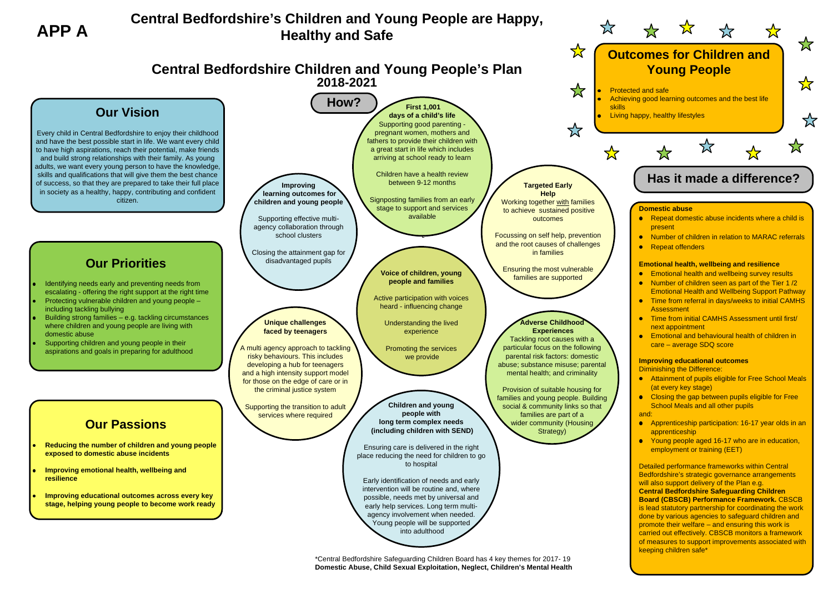# **Central Bedfordshire's Children and Young People are Happy, Healthy and Safe**

\*Central Bedfordshire Safeguarding Children Board has 4 key themes for 2017- 19 **Domestic Abuse, Child Sexual Exploitation, Neglect, Children's Mental Health**